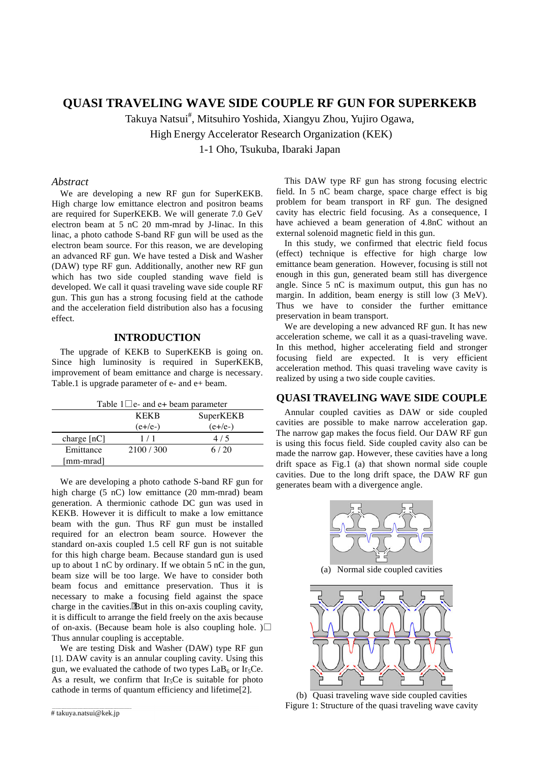# **QUASI TRAVELING WAVE SIDE COUPLE RF GUN FOR SUPERKEKB**

Takuya Natsui# , Mitsuhiro Yoshida, Xiangyu Zhou, Yujiro Ogawa, High Energy Accelerator Research Organization (KEK)

1-1 Oho, Tsukuba, Ibaraki Japan

#### *Abstract*

We are developing a new RF gun for SuperKEKB. High charge low emittance electron and positron beams are required for SuperKEKB. We will generate 7.0 GeV electron beam at 5 nC 20 mm-mrad by J-linac. In this linac, a photo cathode S-band RF gun will be used as the electron beam source. For this reason, we are developing an advanced RF gun. We have tested a Disk and Washer (DAW) type RF gun. Additionally, another new RF gun which has two side coupled standing wave field is developed. We call it quasi traveling wave side couple RF gun. This gun has a strong focusing field at the cathode and the acceleration field distribution also has a focusing effect.

#### **INTRODUCTION**

The upgrade of KEKB to SuperKEKB is going on. Since high luminosity is required in SuperKEKB, improvement of beam emittance and charge is necessary. Table.1 is upgrade parameter of e- and e+ beam.

| Table $1\Box$ e- and e+ beam parameter |             |           |
|----------------------------------------|-------------|-----------|
|                                        | <b>KEKR</b> | SuperKEKB |
|                                        | $(e+/e-)$   | $(e+/e-)$ |
| charge $[nC]$                          | 1/1         | 4/5       |
| Emittance                              | 2100 / 300  | 6/20      |
| [mm-mrad]                              |             |           |

We are developing a photo cathode S-band RF gun for high charge (5 nC) low emittance (20 mm-mrad) beam generation. A thermionic cathode DC gun was used in KEKB. However it is difficult to make a low emittance beam with the gun. Thus RF gun must be installed required for an electron beam source. However the standard on-axis coupled 1.5 cell RF gun is not suitable for this high charge beam. Because standard gun is used up to about 1 nC by ordinary. If we obtain 5 nC in the gun, beam size will be too large. We have to consider both beam focus and emittance preservation. Thus it is necessary to make a focusing field against the space charge in the cavities.But in this on-axis coupling cavity, it is difficult to arrange the field freely on the axis because of on-axis. (Because beam hole is also coupling hole. ) $\Box$ Thus annular coupling is acceptable.

We are testing Disk and Washer (DAW) type RF gun [1]. DAW cavity is an annular coupling cavity. Using this gun, we evaluated the cathode of two types  $LaB<sub>6</sub>$  or Ir<sub>5</sub>Ce. As a result, we confirm that Ir<sub>5</sub>Ce is suitable for photo cathode in terms of quantum efficiency and lifetime[2].

# takuya.natsui@kek.jp

This DAW type RF gun has strong focusing electric field. In 5 nC beam charge, space charge effect is big problem for beam transport in RF gun. The designed cavity has electric field focusing. As a consequence, I have achieved a beam generation of 4.8nC without an external solenoid magnetic field in this gun.

In this study, we confirmed that electric field focus (effect) technique is effective for high charge low emittance beam generation. However, focusing is still not enough in this gun, generated beam still has divergence angle. Since 5 nC is maximum output, this gun has no margin. In addition, beam energy is still low (3 MeV). Thus we have to consider the further emittance preservation in beam transport.

We are developing a new advanced RF gun. It has new acceleration scheme, we call it as a quasi-traveling wave. In this method, higher accelerating field and stronger focusing field are expected. It is very efficient acceleration method. This quasi traveling wave cavity is realized by using a two side couple cavities.

#### **QUASI TRAVELING WAVE SIDE COUPLE**

Annular coupled cavities as DAW or side coupled cavities are possible to make narrow acceleration gap. The narrow gap makes the focus field. Our DAW RF gun is using this focus field. Side coupled cavity also can be made the narrow gap. However, these cavities have a long drift space as Fig.1 (a) that shown normal side couple cavities. Due to the long drift space, the DAW RF gun generates beam with a divergence angle.



(a) Normal side coupled cavities



(b) Quasi traveling wave side coupled cavities Figure 1: Structure of the quasi traveling wave cavity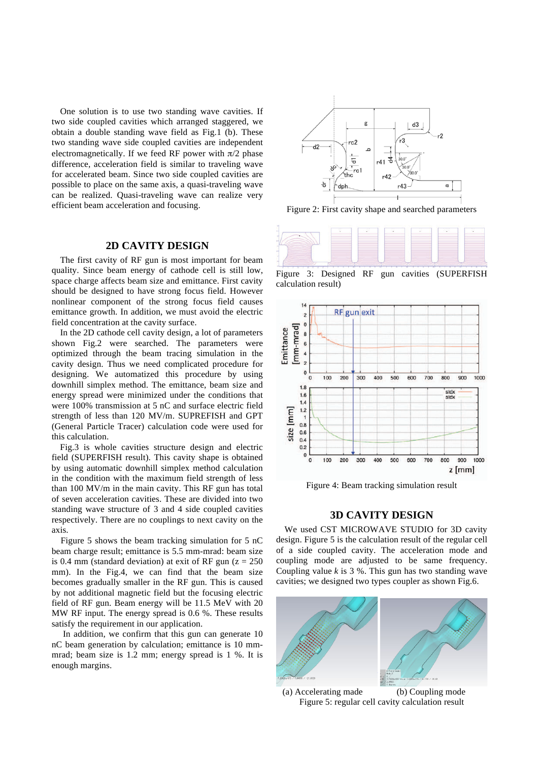One solution is to use two standing wave cavities. If two side coupled cavities which arranged staggered, we obtain a double standing wave field as Fig.1 (b). These two standing wave side coupled cavities are independent electromagnetically. If we feed RF power with  $\pi/2$  phase difference, acceleration field is similar to traveling wave for accelerated beam. Since two side coupled cavities are possible to place on the same axis, a quasi-traveling wave can be realized. Quasi-traveling wave can realize very efficient beam acceleration and focusing.

## **2D CAVITY DESIGN**

The first cavity of RF gun is most important for beam quality. Since beam energy of cathode cell is still low, space charge affects beam size and emittance. First cavity should be designed to have strong focus field. However nonlinear component of the strong focus field causes emittance growth. In addition, we must avoid the electric field concentration at the cavity surface.

In the 2D cathode cell cavity design, a lot of parameters shown Fig.2 were searched. The parameters were optimized through the beam tracing simulation in the cavity design. Thus we need complicated procedure for designing. We automatized this procedure by using downhill simplex method. The emittance, beam size and energy spread were minimized under the conditions that were 100% transmission at 5 nC and surface electric field strength of less than 120 MV/m. SUPREFISH and GPT (General Particle Tracer) calculation code were used for this calculation.

Fig.3 is whole cavities structure design and electric field (SUPERFISH result). This cavity shape is obtained by using automatic downhill simplex method calculation in the condition with the maximum field strength of less than 100 MV/m in the main cavity. This RF gun has total of seven acceleration cavities. These are divided into two standing wave structure of 3 and 4 side coupled cavities respectively. There are no couplings to next cavity on the axis.

Figure 5 shows the beam tracking simulation for 5 nC beam charge result; emittance is 5.5 mm-mrad: beam size is 0.4 mm (standard deviation) at exit of RF gun  $(z = 250$ mm). In the Fig.4, we can find that the beam size becomes gradually smaller in the RF gun. This is caused by not additional magnetic field but the focusing electric field of RF gun. Beam energy will be 11.5 MeV with 20 MW RF input. The energy spread is 0.6 %. These results satisfy the requirement in our application.

In addition, we confirm that this gun can generate 10 nC beam generation by calculation; emittance is 10 mmmrad; beam size is 1.2 mm; energy spread is 1 %. It is enough margins.



Figure 2: First cavity shape and searched parameters



Figure 3: Designed RF gun cavities (SUPERFISH calculation result)



Figure 4: Beam tracking simulation result

### **3D CAVITY DESIGN**

We used CST MICROWAVE STUDIO for 3D cavity design. Figure 5 is the calculation result of the regular cell of a side coupled cavity. The acceleration mode and coupling mode are adjusted to be same frequency. Coupling value *k* is 3 %. This gun has two standing wave cavities; we designed two types coupler as shown Fig.6.



(a) Accelerating made (b) Coupling mode Figure 5: regular cell cavity calculation result